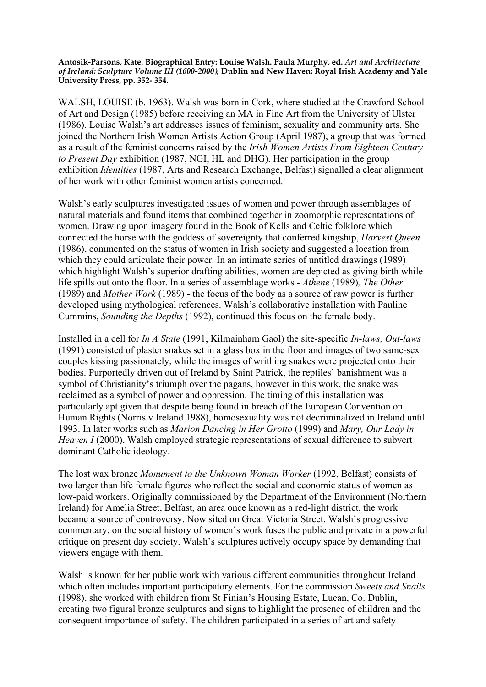**Antosik-Parsons, Kate. Biographical Entry: Louise Walsh. Paula Murphy, ed.** *Art and Architecture of Ireland: Sculpture Volume III (1600-2000),* **Dublin and New Haven: Royal Irish Academy and Yale University Press, pp. 352- 354.**

WALSH, LOUISE (b. 1963). Walsh was born in Cork, where studied at the Crawford School of Art and Design (1985) before receiving an MA in Fine Art from the University of Ulster (1986). Louise Walsh's art addresses issues of feminism, sexuality and community arts. She joined the Northern Irish Women Artists Action Group (April 1987), a group that was formed as a result of the feminist concerns raised by the *Irish Women Artists From Eighteen Century to Present Day* exhibition (1987, NGI, HL and DHG). Her participation in the group exhibition *Identities* (1987, Arts and Research Exchange, Belfast) signalled a clear alignment of her work with other feminist women artists concerned.

Walsh's early sculptures investigated issues of women and power through assemblages of natural materials and found items that combined together in zoomorphic representations of women. Drawing upon imagery found in the Book of Kells and Celtic folklore which connected the horse with the goddess of sovereignty that conferred kingship, *Harvest Queen* (1986), commented on the status of women in Irish society and suggested a location from which they could articulate their power. In an intimate series of untitled drawings (1989) which highlight Walsh's superior drafting abilities, women are depicted as giving birth while life spills out onto the floor. In a series of assemblage works *- Athene* (1989)*, The Other*  (1989) and *Mother Work* (1989) - the focus of the body as a source of raw power is further developed using mythological references. Walsh's collaborative installation with Pauline Cummins, *Sounding the Depths* (1992), continued this focus on the female body.

Installed in a cell for *In A State* (1991, Kilmainham Gaol) the site-specific *In-laws, Out-laws* (1991) consisted of plaster snakes set in a glass box in the floor and images of two same-sex couples kissing passionately, while the images of writhing snakes were projected onto their bodies. Purportedly driven out of Ireland by Saint Patrick, the reptiles' banishment was a symbol of Christianity's triumph over the pagans, however in this work, the snake was reclaimed as a symbol of power and oppression. The timing of this installation was particularly apt given that despite being found in breach of the European Convention on Human Rights (Norris v Ireland 1988), homosexuality was not decriminalized in Ireland until 1993. In later works such as *Marion Dancing in Her Grotto* (1999) and *Mary, Our Lady in Heaven I* (2000), Walsh employed strategic representations of sexual difference to subvert dominant Catholic ideology.

The lost wax bronze *Monument to the Unknown Woman Worker* (1992, Belfast) consists of two larger than life female figures who reflect the social and economic status of women as low-paid workers. Originally commissioned by the Department of the Environment (Northern Ireland) for Amelia Street, Belfast, an area once known as a red-light district, the work became a source of controversy. Now sited on Great Victoria Street, Walsh's progressive commentary, on the social history of women's work fuses the public and private in a powerful critique on present day society. Walsh's sculptures actively occupy space by demanding that viewers engage with them.

Walsh is known for her public work with various different communities throughout Ireland which often includes important participatory elements. For the commission *Sweets and Snails* (1998), she worked with children from St Finian's Housing Estate, Lucan, Co. Dublin, creating two figural bronze sculptures and signs to highlight the presence of children and the consequent importance of safety. The children participated in a series of art and safety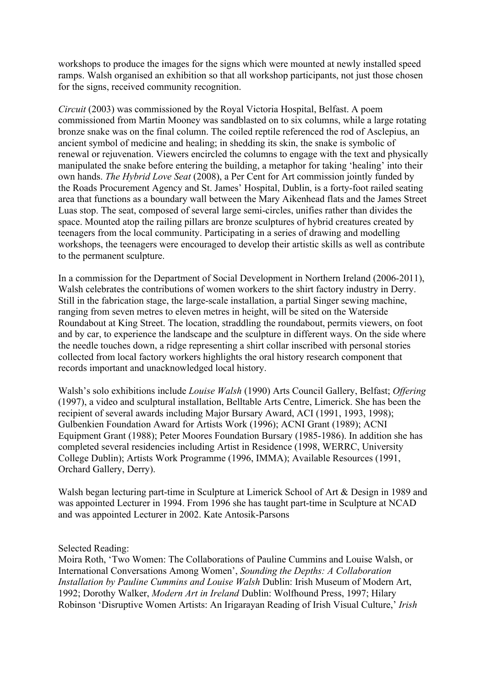workshops to produce the images for the signs which were mounted at newly installed speed ramps. Walsh organised an exhibition so that all workshop participants, not just those chosen for the signs, received community recognition.

*Circuit* (2003) was commissioned by the Royal Victoria Hospital, Belfast. A poem commissioned from Martin Mooney was sandblasted on to six columns, while a large rotating bronze snake was on the final column. The coiled reptile referenced the rod of Asclepius, an ancient symbol of medicine and healing; in shedding its skin, the snake is symbolic of renewal or rejuvenation. Viewers encircled the columns to engage with the text and physically manipulated the snake before entering the building, a metaphor for taking 'healing' into their own hands. *The Hybrid Love Seat* (2008), a Per Cent for Art commission jointly funded by the Roads Procurement Agency and St. James' Hospital, Dublin, is a forty-foot railed seating area that functions as a boundary wall between the Mary Aikenhead flats and the James Street Luas stop. The seat, composed of several large semi-circles, unifies rather than divides the space. Mounted atop the railing pillars are bronze sculptures of hybrid creatures created by teenagers from the local community. Participating in a series of drawing and modelling workshops, the teenagers were encouraged to develop their artistic skills as well as contribute to the permanent sculpture.

In a commission for the Department of Social Development in Northern Ireland (2006-2011), Walsh celebrates the contributions of women workers to the shirt factory industry in Derry. Still in the fabrication stage, the large-scale installation, a partial Singer sewing machine, ranging from seven metres to eleven metres in height, will be sited on the Waterside Roundabout at King Street. The location, straddling the roundabout, permits viewers, on foot and by car, to experience the landscape and the sculpture in different ways. On the side where the needle touches down, a ridge representing a shirt collar inscribed with personal stories collected from local factory workers highlights the oral history research component that records important and unacknowledged local history.

Walsh's solo exhibitions include *Louise Walsh* (1990) Arts Council Gallery, Belfast; *Offering* (1997), a video and sculptural installation, Belltable Arts Centre, Limerick. She has been the recipient of several awards including Major Bursary Award, ACI (1991, 1993, 1998); Gulbenkien Foundation Award for Artists Work (1996); ACNI Grant (1989); ACNI Equipment Grant (1988); Peter Moores Foundation Bursary (1985-1986). In addition she has completed several residencies including Artist in Residence (1998, WERRC, University College Dublin); Artists Work Programme (1996, IMMA); Available Resources (1991, Orchard Gallery, Derry).

Walsh began lecturing part-time in Sculpture at Limerick School of Art & Design in 1989 and was appointed Lecturer in 1994. From 1996 she has taught part-time in Sculpture at NCAD and was appointed Lecturer in 2002. Kate Antosik-Parsons

Selected Reading:

Moira Roth, 'Two Women: The Collaborations of Pauline Cummins and Louise Walsh, or International Conversations Among Women', *Sounding the Depths: A Collaboration Installation by Pauline Cummins and Louise Walsh* Dublin: Irish Museum of Modern Art, 1992; Dorothy Walker, *Modern Art in Ireland* Dublin: Wolfhound Press, 1997; Hilary Robinson 'Disruptive Women Artists: An Irigarayan Reading of Irish Visual Culture,' *Irish*